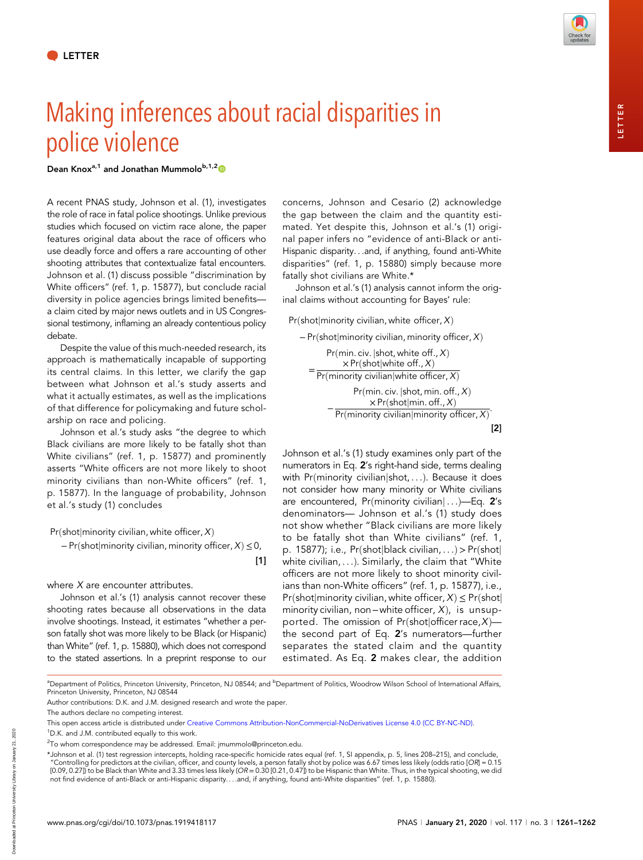## Making inferences about racial disparities in police violence

Dean Knox<sup>a,1</sup> and Jonathan Mummolo<sup>b,1,2</sup><sup>0</sup>

A recent PNAS study, Johnson et al. (1), investigates the role of race in fatal police shootings. Unlike previous studies which focused on victim race alone, the paper features original data about the race of officers who use deadly force and offers a rare accounting of other shooting attributes that contextualize fatal encounters. Johnson et al. (1) discuss possible "discrimination by White officers" (ref. 1, p. 15877), but conclude racial diversity in police agencies brings limited benefits a claim cited by major news outlets and in US Congressional testimony, inflaming an already contentious policy debate.

Despite the value of this much-needed research, its approach is mathematically incapable of supporting its central claims. In this letter, we clarify the gap between what Johnson et al.'s study asserts and what it actually estimates, as well as the implications of that difference for policymaking and future scholarship on race and policing.

Johnson et al.'s study asks "the degree to which Black civilians are more likely to be fatally shot than White civilians" (ref. 1, p. 15877) and prominently asserts "White officers are not more likely to shoot minority civilians than non-White officers" (ref. 1, p. 15877). In the language of probability, Johnson et al.'s study (1) concludes

 $Pr(\text{shot} | \text{minority civilian}, \text{white officer}, X)$ 

− Pr(shot|minority civilian, minority officer, X) ≤ 0,

[1]

where  $X$  are encounter attributes.

Johnson et al.'s (1) analysis cannot recover these shooting rates because all observations in the data involve shootings. Instead, it estimates "whether a person fatally shot was more likely to be Black (or Hispanic) than White" (ref. 1, p. 15880), which does not correspond to the stated assertions. In a preprint response to our

concerns, Johnson and Cesario (2) acknowledge the gap between the claim and the quantity estimated. Yet despite this, Johnson et al.'s (1) original paper infers no "evidence of anti-Black or anti-Hispanic disparity...and, if anything, found anti-White disparities" (ref. 1, p. 15880) simply because more fatally shot civilians are White.\*

Johnson et al.'s (1) analysis cannot inform the original claims without accounting for Bayes' rule:

## $Pr(\text{shot}|\text{minority}\text{ civilian}, \text{white\,offer}, X)$

− Pr(shot|minority civilian, minority officer, X) = Pr(min. civ.  $|$ shot, white off.,  $X$ )  $\times$  Pr(shot|white off., X)  $Pr(minority~civilian|white~offset, X)$ Pr(min. civ.  $|$ shot, min. off.,  $X$ )

−  $\times$  Pr(shot|min. off., X) Pr(minority civilian|minority officer, X) [2]

Johnson et al.'s (1) study examines only part of the numerators in Eq. 2's right-hand side, terms dealing with Pr(minority civilian|shot, ...). Because it does not consider how many minority or White civilians are encountered, Pr(minority civilian $|...$ )-Eq. 2's denominators— Johnson et al.'s (1) study does not show whether "Black civilians are more likely to be fatally shot than White civilians" (ref. 1, p. 15877); i.e.,  $Pr(\text{shot}|\text{black civilian}, ...) > Pr(\text{shot}|\text{right})$ white civilian,  $\dots$ ). Similarly, the claim that "White officers are not more likely to shoot minority civilians than non-White officers" (ref. 1, p. 15877), i.e., Pr(shot|minority civilian, white officer,  $X) \leq Pr(\text{shot}|\text{if } X)$ minority civilian, non−white officer,  $X$ ), is unsupported. The omission of Pr(shot|officer race,  $X$ ) the second part of Eq. 2's numerators—further separates the stated claim and the quantity estimated. As Eq. 2 makes clear, the addition

<sup>a</sup>Department of Politics, Princeton University, Princeton, NJ 08544; and <sup>b</sup>Department of Politics, Woodrow Wilson School of International Affairs, Princeton University, Princeton, NJ 08544

Author contributions: D.K. and J.M. designed research and wrote the paper.

<sup>1</sup>D.K. and J.M. contributed equally to this work.

Downloaded at Princeton University Library on January 21, 2020

Downloaded at Princeton University Library on January 21, 2020

The authors declare no competing interest.

This open access article is distributed under [Creative Commons Attribution-NonCommercial-NoDerivatives License 4.0 \(CC BY-NC-ND\)](https://creativecommons.org/licenses/by-nc-nd/4.0/).

<sup>&</sup>lt;sup>2</sup>To whom correspondence may be addressed. Email: [jmummolo@princeton.edu](mailto:jmummolo@princeton.edu).

<sup>\*</sup>Johnson et al. (1) test regression intercepts, holding race-specific homicide rates equal (ref. 1, SI appendix, p. 5, lines 208–215), and conclude, "Controlling for predictors at the civilian, officer, and county levels, a person fatally shot by police was 6.67 times less likely (odds ratio [OR] = 0.15 [0.09, 0.27]) to be Black than White and 3.33 times less likely (OR = 0.30 [0.21, 0.47]) to be Hispanic than White. Thus, in the typical shooting, we did not find evidence of anti-Black or anti-Hispanic disparity....and, if anything, found anti-White disparities" (ref. 1, p. 15880).